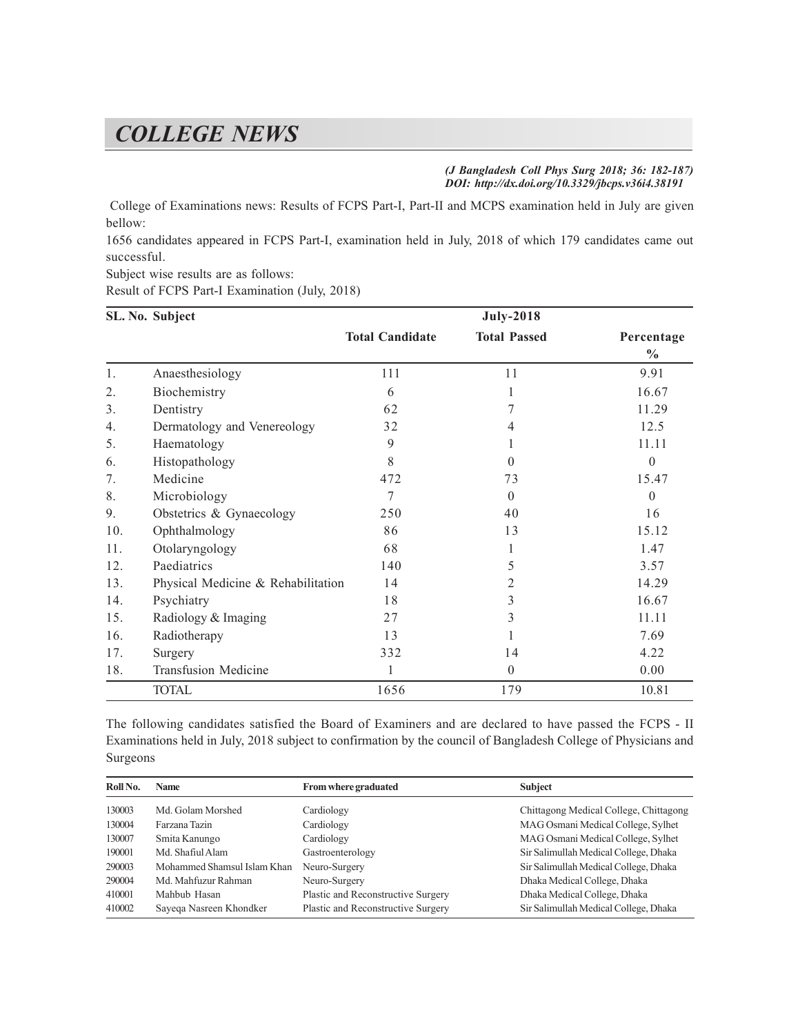## *COLLEGE NEWS*

*(J Bangladesh Coll Phys Surg 2018; 36: 182-187) DOI: http://dx.doi.org/10.3329/jbcps.v36i4.38191*

 College of Examinations news: Results of FCPS Part-I, Part-II and MCPS examination held in July are given bellow:

1656 candidates appeared in FCPS Part-I, examination held in July, 2018 of which 179 candidates came out successful.

Subject wise results are as follows:

Result of FCPS Part-I Examination (July, 2018)

|     | SL. No. Subject                    |                        | <b>July-2018</b>    |                             |
|-----|------------------------------------|------------------------|---------------------|-----------------------------|
|     |                                    | <b>Total Candidate</b> | <b>Total Passed</b> | Percentage<br>$\frac{6}{6}$ |
| 1.  | Anaesthesiology                    | 111                    | 11                  | 9.91                        |
| 2.  | Biochemistry                       | 6                      | 1                   | 16.67                       |
| 3.  | Dentistry                          | 62                     | 7                   | 11.29                       |
| 4.  | Dermatology and Venereology        | 32                     | 4                   | 12.5                        |
| 5.  | Haematology                        | 9                      | L                   | 11.11                       |
| 6.  | Histopathology                     | $\,8\,$                | $\Omega$            | $\theta$                    |
| 7.  | Medicine                           | 472                    | 73                  | 15.47                       |
| 8.  | Microbiology                       | 7                      | $\theta$            | $\theta$                    |
| 9.  | Obstetrics & Gynaecology           | 250                    | 40                  | 16                          |
| 10. | Ophthalmology                      | 86                     | 13                  | 15.12                       |
| 11. | Otolaryngology                     | 68                     | 1                   | 1.47                        |
| 12. | Paediatrics                        | 140                    | 5                   | 3.57                        |
| 13. | Physical Medicine & Rehabilitation | 14                     | 2                   | 14.29                       |
| 14. | Psychiatry                         | 18                     | 3                   | 16.67                       |
| 15. | Radiology & Imaging                | 27                     | 3                   | 11.11                       |
| 16. | Radiotherapy                       | 13                     |                     | 7.69                        |
| 17. | Surgery                            | 332                    | 14                  | 4.22                        |
| 18. | <b>Transfusion Medicine</b>        | 1                      | $\theta$            | 0.00                        |
|     | <b>TOTAL</b>                       | 1656                   | 179                 | 10.81                       |

The following candidates satisfied the Board of Examiners and are declared to have passed the FCPS - II Examinations held in July, 2018 subject to confirmation by the council of Bangladesh College of Physicians and Surgeons

| Roll No. | <b>Name</b>                 | From where graduated               | <b>Subject</b>                         |
|----------|-----------------------------|------------------------------------|----------------------------------------|
| 130003   | Md. Golam Morshed           | Cardiology                         | Chittagong Medical College, Chittagong |
| 130004   | Farzana Tazin               | Cardiology                         | MAG Osmani Medical College, Sylhet     |
| 130007   | Smita Kanungo               | Cardiology                         | MAG Osmani Medical College, Sylhet     |
| 190001   | Md. Shafiul Alam            | Gastroenterology                   | Sir Salimullah Medical College, Dhaka  |
| 290003   | Mohammed Shamsul Islam Khan | Neuro-Surgery                      | Sir Salimullah Medical College, Dhaka  |
| 290004   | Md. Mahfuzur Rahman         | Neuro-Surgery                      | Dhaka Medical College, Dhaka           |
| 410001   | Mahbub Hasan                | Plastic and Reconstructive Surgery | Dhaka Medical College, Dhaka           |
| 410002   | Sayega Nasreen Khondker     | Plastic and Reconstructive Surgery | Sir Salimullah Medical College, Dhaka  |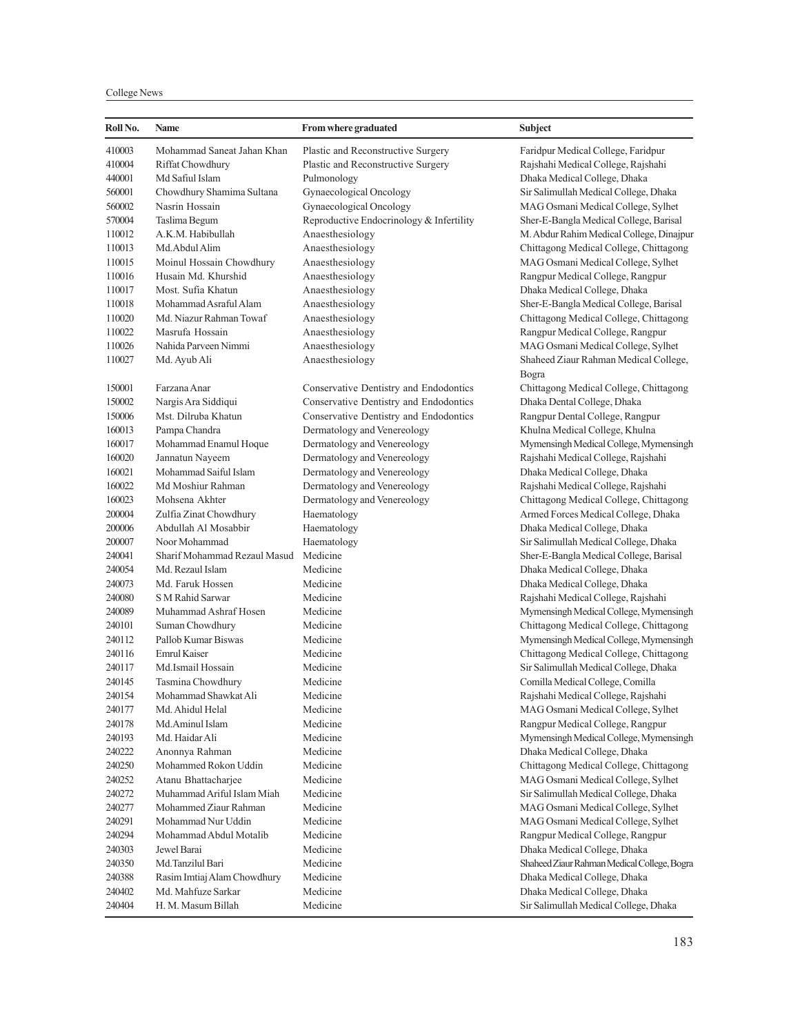College News

| 410003<br>Mohammad Saneat Jahan Khan<br>Plastic and Reconstructive Surgery<br>Faridpur Medical College, Faridpur<br>410004<br>Riffat Chowdhury<br>Plastic and Reconstructive Surgery<br>Rajshahi Medical College, Rajshahi<br>440001<br>Md Safiul Islam<br>Dhaka Medical College, Dhaka<br>Pulmonology<br>Chowdhury Shamima Sultana<br>560001<br>Gynaecological Oncology<br>Sir Salimullah Medical College, Dhaka<br>Nasrin Hossain<br>560002<br>Gynaecological Oncology<br>MAG Osmani Medical College, Sylhet<br>570004<br>Taslima Begum<br>Reproductive Endocrinology & Infertility<br>Sher-E-Bangla Medical College, Barisal<br>M. Abdur Rahim Medical College, Dinajpur<br>110012<br>A.K.M. Habibullah<br>Anaesthesiology<br>110013<br>Anaesthesiology<br>Chittagong Medical College, Chittagong<br>Md.Abdul Alim<br>110015<br>Moinul Hossain Chowdhury<br>Anaesthesiology<br>MAG Osmani Medical College, Sylhet<br>110016<br>Husain Md. Khurshid<br>Rangpur Medical College, Rangpur<br>Anaesthesiology<br>110017<br>Most. Sufia Khatun<br>Anaesthesiology<br>Dhaka Medical College, Dhaka<br>110018<br>Mohammad Asraful Alam<br>Sher-E-Bangla Medical College, Barisal<br>Anaesthesiology<br>110020<br>Md. Niazur Rahman Towaf<br>Chittagong Medical College, Chittagong<br>Anaesthesiology<br>110022<br>Masrufa Hossain<br>Rangpur Medical College, Rangpur<br>Anaesthesiology<br>110026<br>Nahida Parveen Nimmi<br>MAG Osmani Medical College, Sylhet<br>Anaesthesiology<br>110027<br>Md. Ayub Ali<br>Anaesthesiology<br>Shaheed Ziaur Rahman Medical College,<br>Bogra<br>150001<br>Farzana Anar<br>Conservative Dentistry and Endodontics<br>Chittagong Medical College, Chittagong<br>Conservative Dentistry and Endodontics<br>150002<br>Nargis Ara Siddiqui<br>Dhaka Dental College, Dhaka<br>Mst. Dilruba Khatun<br>Conservative Dentistry and Endodontics<br>Rangpur Dental College, Rangpur<br>150006<br>160013<br>Khulna Medical College, Khulna<br>Pampa Chandra<br>Dermatology and Venereology<br>160017<br>Mohammad Enamul Hoque<br>Dermatology and Venereology<br>Mymensingh Medical College, Mymensingh<br>160020<br>Dermatology and Venereology<br>Rajshahi Medical College, Rajshahi<br>Jannatun Nayeem<br>160021<br>Mohammad Saiful Islam<br>Dermatology and Venereology<br>Dhaka Medical College, Dhaka<br>160022<br>Md Moshiur Rahman<br>Dermatology and Venereology<br>Rajshahi Medical College, Rajshahi<br>160023<br>Mohsena Akhter<br>Dermatology and Venereology<br>Chittagong Medical College, Chittagong<br>200004<br>Zulfia Zinat Chowdhury<br>Armed Forces Medical College, Dhaka<br>Haematology<br>200006<br>Abdullah Al Mosabbir<br>Haematology<br>Dhaka Medical College, Dhaka<br>200007<br>Sir Salimullah Medical College, Dhaka<br>Noor Mohammad<br>Haematology<br>Sharif Mohammad Rezaul Masud Medicine<br>240041<br>Sher-E-Bangla Medical College, Barisal<br>240054<br>Medicine<br>Md. Rezaul Islam<br>Dhaka Medical College, Dhaka<br>240073<br>Md. Faruk Hossen<br>Dhaka Medical College, Dhaka<br>Medicine<br>Rajshahi Medical College, Rajshahi<br>240080<br>S M Rahid Sarwar<br>Medicine<br>Muhammad Ashraf Hosen<br>Mymensingh Medical College, Mymensingh<br>240089<br>Medicine<br>Chittagong Medical College, Chittagong<br>240101<br>Suman Chowdhury<br>Medicine<br>240112<br>Pallob Kumar Biswas<br>Mymensingh Medical College, Mymensingh<br>Medicine<br>240116<br>Emrul Kaiser<br>Chittagong Medical College, Chittagong<br>Medicine<br>240117<br>Md.Ismail Hossain<br>Medicine<br>Sir Salimullah Medical College, Dhaka<br>240145<br>Tasmina Chowdhury<br>Medicine<br>Comilla Medical College, Comilla<br>240154<br>Mohammad Shawkat Ali<br>Medicine<br>Rajshahi Medical College, Rajshahi<br>240177<br>Md. Ahidul Helal<br>MAG Osmani Medical College, Sylhet<br>Medicine<br>240178<br>Medicine<br>Rangpur Medical College, Rangpur<br>Md.Aminul Islam<br>240193<br>Mymensingh Medical College, Mymensingh<br>Md. Haidar Ali<br>Medicine<br>240222<br>Dhaka Medical College, Dhaka<br>Anonnya Rahman<br>Medicine<br>240250<br>Mohammed Rokon Uddin<br>Chittagong Medical College, Chittagong<br>Medicine<br>240252<br>MAG Osmani Medical College, Sylhet<br>Atanu Bhattacharjee<br>Medicine<br>240272<br>Muhammad Ariful Islam Miah<br>Sir Salimullah Medical College, Dhaka<br>Medicine<br>240277<br>Mohammed Ziaur Rahman<br>MAG Osmani Medical College, Sylhet<br>Medicine<br>240291<br>Mohammad Nur Uddin<br>MAG Osmani Medical College, Sylhet<br>Medicine<br>240294<br>Rangpur Medical College, Rangpur<br>Mohammad Abdul Motalib<br>Medicine<br>240303<br>Dhaka Medical College, Dhaka<br>Jewel Barai<br>Medicine<br>240350<br>Md.Tanzilul Bari<br>Shaheed Ziaur Rahman Medical College, Bogra<br>Medicine<br>240388<br>Rasim Imtiaj Alam Chowdhury<br>Medicine<br>Dhaka Medical College, Dhaka<br>240402<br>Md. Mahfuze Sarkar<br>Medicine<br>Dhaka Medical College, Dhaka<br>240404<br>H. M. Masum Billah<br>Sir Salimullah Medical College, Dhaka<br>Medicine | Roll No. | <b>Name</b> | From where graduated | <b>Subject</b> |
|-----------------------------------------------------------------------------------------------------------------------------------------------------------------------------------------------------------------------------------------------------------------------------------------------------------------------------------------------------------------------------------------------------------------------------------------------------------------------------------------------------------------------------------------------------------------------------------------------------------------------------------------------------------------------------------------------------------------------------------------------------------------------------------------------------------------------------------------------------------------------------------------------------------------------------------------------------------------------------------------------------------------------------------------------------------------------------------------------------------------------------------------------------------------------------------------------------------------------------------------------------------------------------------------------------------------------------------------------------------------------------------------------------------------------------------------------------------------------------------------------------------------------------------------------------------------------------------------------------------------------------------------------------------------------------------------------------------------------------------------------------------------------------------------------------------------------------------------------------------------------------------------------------------------------------------------------------------------------------------------------------------------------------------------------------------------------------------------------------------------------------------------------------------------------------------------------------------------------------------------------------------------------------------------------------------------------------------------------------------------------------------------------------------------------------------------------------------------------------------------------------------------------------------------------------------------------------------------------------------------------------------------------------------------------------------------------------------------------------------------------------------------------------------------------------------------------------------------------------------------------------------------------------------------------------------------------------------------------------------------------------------------------------------------------------------------------------------------------------------------------------------------------------------------------------------------------------------------------------------------------------------------------------------------------------------------------------------------------------------------------------------------------------------------------------------------------------------------------------------------------------------------------------------------------------------------------------------------------------------------------------------------------------------------------------------------------------------------------------------------------------------------------------------------------------------------------------------------------------------------------------------------------------------------------------------------------------------------------------------------------------------------------------------------------------------------------------------------------------------------------------------------------------------------------------------------------------------------------------------------------------------------------------------------------------------------------------------------------------------------------------------------------------------------------------------------------------------------------------------------------------------------------------------------------------------------------------------------------------------------------------------------------------------------------------------------------------------------------------------------------------------------------------------------------------------------------------------------------------------------------------------------------------------------------------------------------------------------------------------------------------------------------------------|----------|-------------|----------------------|----------------|
|                                                                                                                                                                                                                                                                                                                                                                                                                                                                                                                                                                                                                                                                                                                                                                                                                                                                                                                                                                                                                                                                                                                                                                                                                                                                                                                                                                                                                                                                                                                                                                                                                                                                                                                                                                                                                                                                                                                                                                                                                                                                                                                                                                                                                                                                                                                                                                                                                                                                                                                                                                                                                                                                                                                                                                                                                                                                                                                                                                                                                                                                                                                                                                                                                                                                                                                                                                                                                                                                                                                                                                                                                                                                                                                                                                                                                                                                                                                                                                                                                                                                                                                                                                                                                                                                                                                                                                                                                                                                                                                                                                                                                                                                                                                                                                                                                                                                                                                                                                                                                                   |          |             |                      |                |
|                                                                                                                                                                                                                                                                                                                                                                                                                                                                                                                                                                                                                                                                                                                                                                                                                                                                                                                                                                                                                                                                                                                                                                                                                                                                                                                                                                                                                                                                                                                                                                                                                                                                                                                                                                                                                                                                                                                                                                                                                                                                                                                                                                                                                                                                                                                                                                                                                                                                                                                                                                                                                                                                                                                                                                                                                                                                                                                                                                                                                                                                                                                                                                                                                                                                                                                                                                                                                                                                                                                                                                                                                                                                                                                                                                                                                                                                                                                                                                                                                                                                                                                                                                                                                                                                                                                                                                                                                                                                                                                                                                                                                                                                                                                                                                                                                                                                                                                                                                                                                                   |          |             |                      |                |
|                                                                                                                                                                                                                                                                                                                                                                                                                                                                                                                                                                                                                                                                                                                                                                                                                                                                                                                                                                                                                                                                                                                                                                                                                                                                                                                                                                                                                                                                                                                                                                                                                                                                                                                                                                                                                                                                                                                                                                                                                                                                                                                                                                                                                                                                                                                                                                                                                                                                                                                                                                                                                                                                                                                                                                                                                                                                                                                                                                                                                                                                                                                                                                                                                                                                                                                                                                                                                                                                                                                                                                                                                                                                                                                                                                                                                                                                                                                                                                                                                                                                                                                                                                                                                                                                                                                                                                                                                                                                                                                                                                                                                                                                                                                                                                                                                                                                                                                                                                                                                                   |          |             |                      |                |
|                                                                                                                                                                                                                                                                                                                                                                                                                                                                                                                                                                                                                                                                                                                                                                                                                                                                                                                                                                                                                                                                                                                                                                                                                                                                                                                                                                                                                                                                                                                                                                                                                                                                                                                                                                                                                                                                                                                                                                                                                                                                                                                                                                                                                                                                                                                                                                                                                                                                                                                                                                                                                                                                                                                                                                                                                                                                                                                                                                                                                                                                                                                                                                                                                                                                                                                                                                                                                                                                                                                                                                                                                                                                                                                                                                                                                                                                                                                                                                                                                                                                                                                                                                                                                                                                                                                                                                                                                                                                                                                                                                                                                                                                                                                                                                                                                                                                                                                                                                                                                                   |          |             |                      |                |
|                                                                                                                                                                                                                                                                                                                                                                                                                                                                                                                                                                                                                                                                                                                                                                                                                                                                                                                                                                                                                                                                                                                                                                                                                                                                                                                                                                                                                                                                                                                                                                                                                                                                                                                                                                                                                                                                                                                                                                                                                                                                                                                                                                                                                                                                                                                                                                                                                                                                                                                                                                                                                                                                                                                                                                                                                                                                                                                                                                                                                                                                                                                                                                                                                                                                                                                                                                                                                                                                                                                                                                                                                                                                                                                                                                                                                                                                                                                                                                                                                                                                                                                                                                                                                                                                                                                                                                                                                                                                                                                                                                                                                                                                                                                                                                                                                                                                                                                                                                                                                                   |          |             |                      |                |
|                                                                                                                                                                                                                                                                                                                                                                                                                                                                                                                                                                                                                                                                                                                                                                                                                                                                                                                                                                                                                                                                                                                                                                                                                                                                                                                                                                                                                                                                                                                                                                                                                                                                                                                                                                                                                                                                                                                                                                                                                                                                                                                                                                                                                                                                                                                                                                                                                                                                                                                                                                                                                                                                                                                                                                                                                                                                                                                                                                                                                                                                                                                                                                                                                                                                                                                                                                                                                                                                                                                                                                                                                                                                                                                                                                                                                                                                                                                                                                                                                                                                                                                                                                                                                                                                                                                                                                                                                                                                                                                                                                                                                                                                                                                                                                                                                                                                                                                                                                                                                                   |          |             |                      |                |
|                                                                                                                                                                                                                                                                                                                                                                                                                                                                                                                                                                                                                                                                                                                                                                                                                                                                                                                                                                                                                                                                                                                                                                                                                                                                                                                                                                                                                                                                                                                                                                                                                                                                                                                                                                                                                                                                                                                                                                                                                                                                                                                                                                                                                                                                                                                                                                                                                                                                                                                                                                                                                                                                                                                                                                                                                                                                                                                                                                                                                                                                                                                                                                                                                                                                                                                                                                                                                                                                                                                                                                                                                                                                                                                                                                                                                                                                                                                                                                                                                                                                                                                                                                                                                                                                                                                                                                                                                                                                                                                                                                                                                                                                                                                                                                                                                                                                                                                                                                                                                                   |          |             |                      |                |
|                                                                                                                                                                                                                                                                                                                                                                                                                                                                                                                                                                                                                                                                                                                                                                                                                                                                                                                                                                                                                                                                                                                                                                                                                                                                                                                                                                                                                                                                                                                                                                                                                                                                                                                                                                                                                                                                                                                                                                                                                                                                                                                                                                                                                                                                                                                                                                                                                                                                                                                                                                                                                                                                                                                                                                                                                                                                                                                                                                                                                                                                                                                                                                                                                                                                                                                                                                                                                                                                                                                                                                                                                                                                                                                                                                                                                                                                                                                                                                                                                                                                                                                                                                                                                                                                                                                                                                                                                                                                                                                                                                                                                                                                                                                                                                                                                                                                                                                                                                                                                                   |          |             |                      |                |
|                                                                                                                                                                                                                                                                                                                                                                                                                                                                                                                                                                                                                                                                                                                                                                                                                                                                                                                                                                                                                                                                                                                                                                                                                                                                                                                                                                                                                                                                                                                                                                                                                                                                                                                                                                                                                                                                                                                                                                                                                                                                                                                                                                                                                                                                                                                                                                                                                                                                                                                                                                                                                                                                                                                                                                                                                                                                                                                                                                                                                                                                                                                                                                                                                                                                                                                                                                                                                                                                                                                                                                                                                                                                                                                                                                                                                                                                                                                                                                                                                                                                                                                                                                                                                                                                                                                                                                                                                                                                                                                                                                                                                                                                                                                                                                                                                                                                                                                                                                                                                                   |          |             |                      |                |
|                                                                                                                                                                                                                                                                                                                                                                                                                                                                                                                                                                                                                                                                                                                                                                                                                                                                                                                                                                                                                                                                                                                                                                                                                                                                                                                                                                                                                                                                                                                                                                                                                                                                                                                                                                                                                                                                                                                                                                                                                                                                                                                                                                                                                                                                                                                                                                                                                                                                                                                                                                                                                                                                                                                                                                                                                                                                                                                                                                                                                                                                                                                                                                                                                                                                                                                                                                                                                                                                                                                                                                                                                                                                                                                                                                                                                                                                                                                                                                                                                                                                                                                                                                                                                                                                                                                                                                                                                                                                                                                                                                                                                                                                                                                                                                                                                                                                                                                                                                                                                                   |          |             |                      |                |
|                                                                                                                                                                                                                                                                                                                                                                                                                                                                                                                                                                                                                                                                                                                                                                                                                                                                                                                                                                                                                                                                                                                                                                                                                                                                                                                                                                                                                                                                                                                                                                                                                                                                                                                                                                                                                                                                                                                                                                                                                                                                                                                                                                                                                                                                                                                                                                                                                                                                                                                                                                                                                                                                                                                                                                                                                                                                                                                                                                                                                                                                                                                                                                                                                                                                                                                                                                                                                                                                                                                                                                                                                                                                                                                                                                                                                                                                                                                                                                                                                                                                                                                                                                                                                                                                                                                                                                                                                                                                                                                                                                                                                                                                                                                                                                                                                                                                                                                                                                                                                                   |          |             |                      |                |
|                                                                                                                                                                                                                                                                                                                                                                                                                                                                                                                                                                                                                                                                                                                                                                                                                                                                                                                                                                                                                                                                                                                                                                                                                                                                                                                                                                                                                                                                                                                                                                                                                                                                                                                                                                                                                                                                                                                                                                                                                                                                                                                                                                                                                                                                                                                                                                                                                                                                                                                                                                                                                                                                                                                                                                                                                                                                                                                                                                                                                                                                                                                                                                                                                                                                                                                                                                                                                                                                                                                                                                                                                                                                                                                                                                                                                                                                                                                                                                                                                                                                                                                                                                                                                                                                                                                                                                                                                                                                                                                                                                                                                                                                                                                                                                                                                                                                                                                                                                                                                                   |          |             |                      |                |
|                                                                                                                                                                                                                                                                                                                                                                                                                                                                                                                                                                                                                                                                                                                                                                                                                                                                                                                                                                                                                                                                                                                                                                                                                                                                                                                                                                                                                                                                                                                                                                                                                                                                                                                                                                                                                                                                                                                                                                                                                                                                                                                                                                                                                                                                                                                                                                                                                                                                                                                                                                                                                                                                                                                                                                                                                                                                                                                                                                                                                                                                                                                                                                                                                                                                                                                                                                                                                                                                                                                                                                                                                                                                                                                                                                                                                                                                                                                                                                                                                                                                                                                                                                                                                                                                                                                                                                                                                                                                                                                                                                                                                                                                                                                                                                                                                                                                                                                                                                                                                                   |          |             |                      |                |
|                                                                                                                                                                                                                                                                                                                                                                                                                                                                                                                                                                                                                                                                                                                                                                                                                                                                                                                                                                                                                                                                                                                                                                                                                                                                                                                                                                                                                                                                                                                                                                                                                                                                                                                                                                                                                                                                                                                                                                                                                                                                                                                                                                                                                                                                                                                                                                                                                                                                                                                                                                                                                                                                                                                                                                                                                                                                                                                                                                                                                                                                                                                                                                                                                                                                                                                                                                                                                                                                                                                                                                                                                                                                                                                                                                                                                                                                                                                                                                                                                                                                                                                                                                                                                                                                                                                                                                                                                                                                                                                                                                                                                                                                                                                                                                                                                                                                                                                                                                                                                                   |          |             |                      |                |
|                                                                                                                                                                                                                                                                                                                                                                                                                                                                                                                                                                                                                                                                                                                                                                                                                                                                                                                                                                                                                                                                                                                                                                                                                                                                                                                                                                                                                                                                                                                                                                                                                                                                                                                                                                                                                                                                                                                                                                                                                                                                                                                                                                                                                                                                                                                                                                                                                                                                                                                                                                                                                                                                                                                                                                                                                                                                                                                                                                                                                                                                                                                                                                                                                                                                                                                                                                                                                                                                                                                                                                                                                                                                                                                                                                                                                                                                                                                                                                                                                                                                                                                                                                                                                                                                                                                                                                                                                                                                                                                                                                                                                                                                                                                                                                                                                                                                                                                                                                                                                                   |          |             |                      |                |
|                                                                                                                                                                                                                                                                                                                                                                                                                                                                                                                                                                                                                                                                                                                                                                                                                                                                                                                                                                                                                                                                                                                                                                                                                                                                                                                                                                                                                                                                                                                                                                                                                                                                                                                                                                                                                                                                                                                                                                                                                                                                                                                                                                                                                                                                                                                                                                                                                                                                                                                                                                                                                                                                                                                                                                                                                                                                                                                                                                                                                                                                                                                                                                                                                                                                                                                                                                                                                                                                                                                                                                                                                                                                                                                                                                                                                                                                                                                                                                                                                                                                                                                                                                                                                                                                                                                                                                                                                                                                                                                                                                                                                                                                                                                                                                                                                                                                                                                                                                                                                                   |          |             |                      |                |
|                                                                                                                                                                                                                                                                                                                                                                                                                                                                                                                                                                                                                                                                                                                                                                                                                                                                                                                                                                                                                                                                                                                                                                                                                                                                                                                                                                                                                                                                                                                                                                                                                                                                                                                                                                                                                                                                                                                                                                                                                                                                                                                                                                                                                                                                                                                                                                                                                                                                                                                                                                                                                                                                                                                                                                                                                                                                                                                                                                                                                                                                                                                                                                                                                                                                                                                                                                                                                                                                                                                                                                                                                                                                                                                                                                                                                                                                                                                                                                                                                                                                                                                                                                                                                                                                                                                                                                                                                                                                                                                                                                                                                                                                                                                                                                                                                                                                                                                                                                                                                                   |          |             |                      |                |
|                                                                                                                                                                                                                                                                                                                                                                                                                                                                                                                                                                                                                                                                                                                                                                                                                                                                                                                                                                                                                                                                                                                                                                                                                                                                                                                                                                                                                                                                                                                                                                                                                                                                                                                                                                                                                                                                                                                                                                                                                                                                                                                                                                                                                                                                                                                                                                                                                                                                                                                                                                                                                                                                                                                                                                                                                                                                                                                                                                                                                                                                                                                                                                                                                                                                                                                                                                                                                                                                                                                                                                                                                                                                                                                                                                                                                                                                                                                                                                                                                                                                                                                                                                                                                                                                                                                                                                                                                                                                                                                                                                                                                                                                                                                                                                                                                                                                                                                                                                                                                                   |          |             |                      |                |
|                                                                                                                                                                                                                                                                                                                                                                                                                                                                                                                                                                                                                                                                                                                                                                                                                                                                                                                                                                                                                                                                                                                                                                                                                                                                                                                                                                                                                                                                                                                                                                                                                                                                                                                                                                                                                                                                                                                                                                                                                                                                                                                                                                                                                                                                                                                                                                                                                                                                                                                                                                                                                                                                                                                                                                                                                                                                                                                                                                                                                                                                                                                                                                                                                                                                                                                                                                                                                                                                                                                                                                                                                                                                                                                                                                                                                                                                                                                                                                                                                                                                                                                                                                                                                                                                                                                                                                                                                                                                                                                                                                                                                                                                                                                                                                                                                                                                                                                                                                                                                                   |          |             |                      |                |
|                                                                                                                                                                                                                                                                                                                                                                                                                                                                                                                                                                                                                                                                                                                                                                                                                                                                                                                                                                                                                                                                                                                                                                                                                                                                                                                                                                                                                                                                                                                                                                                                                                                                                                                                                                                                                                                                                                                                                                                                                                                                                                                                                                                                                                                                                                                                                                                                                                                                                                                                                                                                                                                                                                                                                                                                                                                                                                                                                                                                                                                                                                                                                                                                                                                                                                                                                                                                                                                                                                                                                                                                                                                                                                                                                                                                                                                                                                                                                                                                                                                                                                                                                                                                                                                                                                                                                                                                                                                                                                                                                                                                                                                                                                                                                                                                                                                                                                                                                                                                                                   |          |             |                      |                |
|                                                                                                                                                                                                                                                                                                                                                                                                                                                                                                                                                                                                                                                                                                                                                                                                                                                                                                                                                                                                                                                                                                                                                                                                                                                                                                                                                                                                                                                                                                                                                                                                                                                                                                                                                                                                                                                                                                                                                                                                                                                                                                                                                                                                                                                                                                                                                                                                                                                                                                                                                                                                                                                                                                                                                                                                                                                                                                                                                                                                                                                                                                                                                                                                                                                                                                                                                                                                                                                                                                                                                                                                                                                                                                                                                                                                                                                                                                                                                                                                                                                                                                                                                                                                                                                                                                                                                                                                                                                                                                                                                                                                                                                                                                                                                                                                                                                                                                                                                                                                                                   |          |             |                      |                |
|                                                                                                                                                                                                                                                                                                                                                                                                                                                                                                                                                                                                                                                                                                                                                                                                                                                                                                                                                                                                                                                                                                                                                                                                                                                                                                                                                                                                                                                                                                                                                                                                                                                                                                                                                                                                                                                                                                                                                                                                                                                                                                                                                                                                                                                                                                                                                                                                                                                                                                                                                                                                                                                                                                                                                                                                                                                                                                                                                                                                                                                                                                                                                                                                                                                                                                                                                                                                                                                                                                                                                                                                                                                                                                                                                                                                                                                                                                                                                                                                                                                                                                                                                                                                                                                                                                                                                                                                                                                                                                                                                                                                                                                                                                                                                                                                                                                                                                                                                                                                                                   |          |             |                      |                |
|                                                                                                                                                                                                                                                                                                                                                                                                                                                                                                                                                                                                                                                                                                                                                                                                                                                                                                                                                                                                                                                                                                                                                                                                                                                                                                                                                                                                                                                                                                                                                                                                                                                                                                                                                                                                                                                                                                                                                                                                                                                                                                                                                                                                                                                                                                                                                                                                                                                                                                                                                                                                                                                                                                                                                                                                                                                                                                                                                                                                                                                                                                                                                                                                                                                                                                                                                                                                                                                                                                                                                                                                                                                                                                                                                                                                                                                                                                                                                                                                                                                                                                                                                                                                                                                                                                                                                                                                                                                                                                                                                                                                                                                                                                                                                                                                                                                                                                                                                                                                                                   |          |             |                      |                |
|                                                                                                                                                                                                                                                                                                                                                                                                                                                                                                                                                                                                                                                                                                                                                                                                                                                                                                                                                                                                                                                                                                                                                                                                                                                                                                                                                                                                                                                                                                                                                                                                                                                                                                                                                                                                                                                                                                                                                                                                                                                                                                                                                                                                                                                                                                                                                                                                                                                                                                                                                                                                                                                                                                                                                                                                                                                                                                                                                                                                                                                                                                                                                                                                                                                                                                                                                                                                                                                                                                                                                                                                                                                                                                                                                                                                                                                                                                                                                                                                                                                                                                                                                                                                                                                                                                                                                                                                                                                                                                                                                                                                                                                                                                                                                                                                                                                                                                                                                                                                                                   |          |             |                      |                |
|                                                                                                                                                                                                                                                                                                                                                                                                                                                                                                                                                                                                                                                                                                                                                                                                                                                                                                                                                                                                                                                                                                                                                                                                                                                                                                                                                                                                                                                                                                                                                                                                                                                                                                                                                                                                                                                                                                                                                                                                                                                                                                                                                                                                                                                                                                                                                                                                                                                                                                                                                                                                                                                                                                                                                                                                                                                                                                                                                                                                                                                                                                                                                                                                                                                                                                                                                                                                                                                                                                                                                                                                                                                                                                                                                                                                                                                                                                                                                                                                                                                                                                                                                                                                                                                                                                                                                                                                                                                                                                                                                                                                                                                                                                                                                                                                                                                                                                                                                                                                                                   |          |             |                      |                |
|                                                                                                                                                                                                                                                                                                                                                                                                                                                                                                                                                                                                                                                                                                                                                                                                                                                                                                                                                                                                                                                                                                                                                                                                                                                                                                                                                                                                                                                                                                                                                                                                                                                                                                                                                                                                                                                                                                                                                                                                                                                                                                                                                                                                                                                                                                                                                                                                                                                                                                                                                                                                                                                                                                                                                                                                                                                                                                                                                                                                                                                                                                                                                                                                                                                                                                                                                                                                                                                                                                                                                                                                                                                                                                                                                                                                                                                                                                                                                                                                                                                                                                                                                                                                                                                                                                                                                                                                                                                                                                                                                                                                                                                                                                                                                                                                                                                                                                                                                                                                                                   |          |             |                      |                |
|                                                                                                                                                                                                                                                                                                                                                                                                                                                                                                                                                                                                                                                                                                                                                                                                                                                                                                                                                                                                                                                                                                                                                                                                                                                                                                                                                                                                                                                                                                                                                                                                                                                                                                                                                                                                                                                                                                                                                                                                                                                                                                                                                                                                                                                                                                                                                                                                                                                                                                                                                                                                                                                                                                                                                                                                                                                                                                                                                                                                                                                                                                                                                                                                                                                                                                                                                                                                                                                                                                                                                                                                                                                                                                                                                                                                                                                                                                                                                                                                                                                                                                                                                                                                                                                                                                                                                                                                                                                                                                                                                                                                                                                                                                                                                                                                                                                                                                                                                                                                                                   |          |             |                      |                |
|                                                                                                                                                                                                                                                                                                                                                                                                                                                                                                                                                                                                                                                                                                                                                                                                                                                                                                                                                                                                                                                                                                                                                                                                                                                                                                                                                                                                                                                                                                                                                                                                                                                                                                                                                                                                                                                                                                                                                                                                                                                                                                                                                                                                                                                                                                                                                                                                                                                                                                                                                                                                                                                                                                                                                                                                                                                                                                                                                                                                                                                                                                                                                                                                                                                                                                                                                                                                                                                                                                                                                                                                                                                                                                                                                                                                                                                                                                                                                                                                                                                                                                                                                                                                                                                                                                                                                                                                                                                                                                                                                                                                                                                                                                                                                                                                                                                                                                                                                                                                                                   |          |             |                      |                |
|                                                                                                                                                                                                                                                                                                                                                                                                                                                                                                                                                                                                                                                                                                                                                                                                                                                                                                                                                                                                                                                                                                                                                                                                                                                                                                                                                                                                                                                                                                                                                                                                                                                                                                                                                                                                                                                                                                                                                                                                                                                                                                                                                                                                                                                                                                                                                                                                                                                                                                                                                                                                                                                                                                                                                                                                                                                                                                                                                                                                                                                                                                                                                                                                                                                                                                                                                                                                                                                                                                                                                                                                                                                                                                                                                                                                                                                                                                                                                                                                                                                                                                                                                                                                                                                                                                                                                                                                                                                                                                                                                                                                                                                                                                                                                                                                                                                                                                                                                                                                                                   |          |             |                      |                |
|                                                                                                                                                                                                                                                                                                                                                                                                                                                                                                                                                                                                                                                                                                                                                                                                                                                                                                                                                                                                                                                                                                                                                                                                                                                                                                                                                                                                                                                                                                                                                                                                                                                                                                                                                                                                                                                                                                                                                                                                                                                                                                                                                                                                                                                                                                                                                                                                                                                                                                                                                                                                                                                                                                                                                                                                                                                                                                                                                                                                                                                                                                                                                                                                                                                                                                                                                                                                                                                                                                                                                                                                                                                                                                                                                                                                                                                                                                                                                                                                                                                                                                                                                                                                                                                                                                                                                                                                                                                                                                                                                                                                                                                                                                                                                                                                                                                                                                                                                                                                                                   |          |             |                      |                |
|                                                                                                                                                                                                                                                                                                                                                                                                                                                                                                                                                                                                                                                                                                                                                                                                                                                                                                                                                                                                                                                                                                                                                                                                                                                                                                                                                                                                                                                                                                                                                                                                                                                                                                                                                                                                                                                                                                                                                                                                                                                                                                                                                                                                                                                                                                                                                                                                                                                                                                                                                                                                                                                                                                                                                                                                                                                                                                                                                                                                                                                                                                                                                                                                                                                                                                                                                                                                                                                                                                                                                                                                                                                                                                                                                                                                                                                                                                                                                                                                                                                                                                                                                                                                                                                                                                                                                                                                                                                                                                                                                                                                                                                                                                                                                                                                                                                                                                                                                                                                                                   |          |             |                      |                |
|                                                                                                                                                                                                                                                                                                                                                                                                                                                                                                                                                                                                                                                                                                                                                                                                                                                                                                                                                                                                                                                                                                                                                                                                                                                                                                                                                                                                                                                                                                                                                                                                                                                                                                                                                                                                                                                                                                                                                                                                                                                                                                                                                                                                                                                                                                                                                                                                                                                                                                                                                                                                                                                                                                                                                                                                                                                                                                                                                                                                                                                                                                                                                                                                                                                                                                                                                                                                                                                                                                                                                                                                                                                                                                                                                                                                                                                                                                                                                                                                                                                                                                                                                                                                                                                                                                                                                                                                                                                                                                                                                                                                                                                                                                                                                                                                                                                                                                                                                                                                                                   |          |             |                      |                |
|                                                                                                                                                                                                                                                                                                                                                                                                                                                                                                                                                                                                                                                                                                                                                                                                                                                                                                                                                                                                                                                                                                                                                                                                                                                                                                                                                                                                                                                                                                                                                                                                                                                                                                                                                                                                                                                                                                                                                                                                                                                                                                                                                                                                                                                                                                                                                                                                                                                                                                                                                                                                                                                                                                                                                                                                                                                                                                                                                                                                                                                                                                                                                                                                                                                                                                                                                                                                                                                                                                                                                                                                                                                                                                                                                                                                                                                                                                                                                                                                                                                                                                                                                                                                                                                                                                                                                                                                                                                                                                                                                                                                                                                                                                                                                                                                                                                                                                                                                                                                                                   |          |             |                      |                |
|                                                                                                                                                                                                                                                                                                                                                                                                                                                                                                                                                                                                                                                                                                                                                                                                                                                                                                                                                                                                                                                                                                                                                                                                                                                                                                                                                                                                                                                                                                                                                                                                                                                                                                                                                                                                                                                                                                                                                                                                                                                                                                                                                                                                                                                                                                                                                                                                                                                                                                                                                                                                                                                                                                                                                                                                                                                                                                                                                                                                                                                                                                                                                                                                                                                                                                                                                                                                                                                                                                                                                                                                                                                                                                                                                                                                                                                                                                                                                                                                                                                                                                                                                                                                                                                                                                                                                                                                                                                                                                                                                                                                                                                                                                                                                                                                                                                                                                                                                                                                                                   |          |             |                      |                |
|                                                                                                                                                                                                                                                                                                                                                                                                                                                                                                                                                                                                                                                                                                                                                                                                                                                                                                                                                                                                                                                                                                                                                                                                                                                                                                                                                                                                                                                                                                                                                                                                                                                                                                                                                                                                                                                                                                                                                                                                                                                                                                                                                                                                                                                                                                                                                                                                                                                                                                                                                                                                                                                                                                                                                                                                                                                                                                                                                                                                                                                                                                                                                                                                                                                                                                                                                                                                                                                                                                                                                                                                                                                                                                                                                                                                                                                                                                                                                                                                                                                                                                                                                                                                                                                                                                                                                                                                                                                                                                                                                                                                                                                                                                                                                                                                                                                                                                                                                                                                                                   |          |             |                      |                |
|                                                                                                                                                                                                                                                                                                                                                                                                                                                                                                                                                                                                                                                                                                                                                                                                                                                                                                                                                                                                                                                                                                                                                                                                                                                                                                                                                                                                                                                                                                                                                                                                                                                                                                                                                                                                                                                                                                                                                                                                                                                                                                                                                                                                                                                                                                                                                                                                                                                                                                                                                                                                                                                                                                                                                                                                                                                                                                                                                                                                                                                                                                                                                                                                                                                                                                                                                                                                                                                                                                                                                                                                                                                                                                                                                                                                                                                                                                                                                                                                                                                                                                                                                                                                                                                                                                                                                                                                                                                                                                                                                                                                                                                                                                                                                                                                                                                                                                                                                                                                                                   |          |             |                      |                |
|                                                                                                                                                                                                                                                                                                                                                                                                                                                                                                                                                                                                                                                                                                                                                                                                                                                                                                                                                                                                                                                                                                                                                                                                                                                                                                                                                                                                                                                                                                                                                                                                                                                                                                                                                                                                                                                                                                                                                                                                                                                                                                                                                                                                                                                                                                                                                                                                                                                                                                                                                                                                                                                                                                                                                                                                                                                                                                                                                                                                                                                                                                                                                                                                                                                                                                                                                                                                                                                                                                                                                                                                                                                                                                                                                                                                                                                                                                                                                                                                                                                                                                                                                                                                                                                                                                                                                                                                                                                                                                                                                                                                                                                                                                                                                                                                                                                                                                                                                                                                                                   |          |             |                      |                |
|                                                                                                                                                                                                                                                                                                                                                                                                                                                                                                                                                                                                                                                                                                                                                                                                                                                                                                                                                                                                                                                                                                                                                                                                                                                                                                                                                                                                                                                                                                                                                                                                                                                                                                                                                                                                                                                                                                                                                                                                                                                                                                                                                                                                                                                                                                                                                                                                                                                                                                                                                                                                                                                                                                                                                                                                                                                                                                                                                                                                                                                                                                                                                                                                                                                                                                                                                                                                                                                                                                                                                                                                                                                                                                                                                                                                                                                                                                                                                                                                                                                                                                                                                                                                                                                                                                                                                                                                                                                                                                                                                                                                                                                                                                                                                                                                                                                                                                                                                                                                                                   |          |             |                      |                |
|                                                                                                                                                                                                                                                                                                                                                                                                                                                                                                                                                                                                                                                                                                                                                                                                                                                                                                                                                                                                                                                                                                                                                                                                                                                                                                                                                                                                                                                                                                                                                                                                                                                                                                                                                                                                                                                                                                                                                                                                                                                                                                                                                                                                                                                                                                                                                                                                                                                                                                                                                                                                                                                                                                                                                                                                                                                                                                                                                                                                                                                                                                                                                                                                                                                                                                                                                                                                                                                                                                                                                                                                                                                                                                                                                                                                                                                                                                                                                                                                                                                                                                                                                                                                                                                                                                                                                                                                                                                                                                                                                                                                                                                                                                                                                                                                                                                                                                                                                                                                                                   |          |             |                      |                |
|                                                                                                                                                                                                                                                                                                                                                                                                                                                                                                                                                                                                                                                                                                                                                                                                                                                                                                                                                                                                                                                                                                                                                                                                                                                                                                                                                                                                                                                                                                                                                                                                                                                                                                                                                                                                                                                                                                                                                                                                                                                                                                                                                                                                                                                                                                                                                                                                                                                                                                                                                                                                                                                                                                                                                                                                                                                                                                                                                                                                                                                                                                                                                                                                                                                                                                                                                                                                                                                                                                                                                                                                                                                                                                                                                                                                                                                                                                                                                                                                                                                                                                                                                                                                                                                                                                                                                                                                                                                                                                                                                                                                                                                                                                                                                                                                                                                                                                                                                                                                                                   |          |             |                      |                |
|                                                                                                                                                                                                                                                                                                                                                                                                                                                                                                                                                                                                                                                                                                                                                                                                                                                                                                                                                                                                                                                                                                                                                                                                                                                                                                                                                                                                                                                                                                                                                                                                                                                                                                                                                                                                                                                                                                                                                                                                                                                                                                                                                                                                                                                                                                                                                                                                                                                                                                                                                                                                                                                                                                                                                                                                                                                                                                                                                                                                                                                                                                                                                                                                                                                                                                                                                                                                                                                                                                                                                                                                                                                                                                                                                                                                                                                                                                                                                                                                                                                                                                                                                                                                                                                                                                                                                                                                                                                                                                                                                                                                                                                                                                                                                                                                                                                                                                                                                                                                                                   |          |             |                      |                |
|                                                                                                                                                                                                                                                                                                                                                                                                                                                                                                                                                                                                                                                                                                                                                                                                                                                                                                                                                                                                                                                                                                                                                                                                                                                                                                                                                                                                                                                                                                                                                                                                                                                                                                                                                                                                                                                                                                                                                                                                                                                                                                                                                                                                                                                                                                                                                                                                                                                                                                                                                                                                                                                                                                                                                                                                                                                                                                                                                                                                                                                                                                                                                                                                                                                                                                                                                                                                                                                                                                                                                                                                                                                                                                                                                                                                                                                                                                                                                                                                                                                                                                                                                                                                                                                                                                                                                                                                                                                                                                                                                                                                                                                                                                                                                                                                                                                                                                                                                                                                                                   |          |             |                      |                |
|                                                                                                                                                                                                                                                                                                                                                                                                                                                                                                                                                                                                                                                                                                                                                                                                                                                                                                                                                                                                                                                                                                                                                                                                                                                                                                                                                                                                                                                                                                                                                                                                                                                                                                                                                                                                                                                                                                                                                                                                                                                                                                                                                                                                                                                                                                                                                                                                                                                                                                                                                                                                                                                                                                                                                                                                                                                                                                                                                                                                                                                                                                                                                                                                                                                                                                                                                                                                                                                                                                                                                                                                                                                                                                                                                                                                                                                                                                                                                                                                                                                                                                                                                                                                                                                                                                                                                                                                                                                                                                                                                                                                                                                                                                                                                                                                                                                                                                                                                                                                                                   |          |             |                      |                |
|                                                                                                                                                                                                                                                                                                                                                                                                                                                                                                                                                                                                                                                                                                                                                                                                                                                                                                                                                                                                                                                                                                                                                                                                                                                                                                                                                                                                                                                                                                                                                                                                                                                                                                                                                                                                                                                                                                                                                                                                                                                                                                                                                                                                                                                                                                                                                                                                                                                                                                                                                                                                                                                                                                                                                                                                                                                                                                                                                                                                                                                                                                                                                                                                                                                                                                                                                                                                                                                                                                                                                                                                                                                                                                                                                                                                                                                                                                                                                                                                                                                                                                                                                                                                                                                                                                                                                                                                                                                                                                                                                                                                                                                                                                                                                                                                                                                                                                                                                                                                                                   |          |             |                      |                |
|                                                                                                                                                                                                                                                                                                                                                                                                                                                                                                                                                                                                                                                                                                                                                                                                                                                                                                                                                                                                                                                                                                                                                                                                                                                                                                                                                                                                                                                                                                                                                                                                                                                                                                                                                                                                                                                                                                                                                                                                                                                                                                                                                                                                                                                                                                                                                                                                                                                                                                                                                                                                                                                                                                                                                                                                                                                                                                                                                                                                                                                                                                                                                                                                                                                                                                                                                                                                                                                                                                                                                                                                                                                                                                                                                                                                                                                                                                                                                                                                                                                                                                                                                                                                                                                                                                                                                                                                                                                                                                                                                                                                                                                                                                                                                                                                                                                                                                                                                                                                                                   |          |             |                      |                |
|                                                                                                                                                                                                                                                                                                                                                                                                                                                                                                                                                                                                                                                                                                                                                                                                                                                                                                                                                                                                                                                                                                                                                                                                                                                                                                                                                                                                                                                                                                                                                                                                                                                                                                                                                                                                                                                                                                                                                                                                                                                                                                                                                                                                                                                                                                                                                                                                                                                                                                                                                                                                                                                                                                                                                                                                                                                                                                                                                                                                                                                                                                                                                                                                                                                                                                                                                                                                                                                                                                                                                                                                                                                                                                                                                                                                                                                                                                                                                                                                                                                                                                                                                                                                                                                                                                                                                                                                                                                                                                                                                                                                                                                                                                                                                                                                                                                                                                                                                                                                                                   |          |             |                      |                |
|                                                                                                                                                                                                                                                                                                                                                                                                                                                                                                                                                                                                                                                                                                                                                                                                                                                                                                                                                                                                                                                                                                                                                                                                                                                                                                                                                                                                                                                                                                                                                                                                                                                                                                                                                                                                                                                                                                                                                                                                                                                                                                                                                                                                                                                                                                                                                                                                                                                                                                                                                                                                                                                                                                                                                                                                                                                                                                                                                                                                                                                                                                                                                                                                                                                                                                                                                                                                                                                                                                                                                                                                                                                                                                                                                                                                                                                                                                                                                                                                                                                                                                                                                                                                                                                                                                                                                                                                                                                                                                                                                                                                                                                                                                                                                                                                                                                                                                                                                                                                                                   |          |             |                      |                |
|                                                                                                                                                                                                                                                                                                                                                                                                                                                                                                                                                                                                                                                                                                                                                                                                                                                                                                                                                                                                                                                                                                                                                                                                                                                                                                                                                                                                                                                                                                                                                                                                                                                                                                                                                                                                                                                                                                                                                                                                                                                                                                                                                                                                                                                                                                                                                                                                                                                                                                                                                                                                                                                                                                                                                                                                                                                                                                                                                                                                                                                                                                                                                                                                                                                                                                                                                                                                                                                                                                                                                                                                                                                                                                                                                                                                                                                                                                                                                                                                                                                                                                                                                                                                                                                                                                                                                                                                                                                                                                                                                                                                                                                                                                                                                                                                                                                                                                                                                                                                                                   |          |             |                      |                |
|                                                                                                                                                                                                                                                                                                                                                                                                                                                                                                                                                                                                                                                                                                                                                                                                                                                                                                                                                                                                                                                                                                                                                                                                                                                                                                                                                                                                                                                                                                                                                                                                                                                                                                                                                                                                                                                                                                                                                                                                                                                                                                                                                                                                                                                                                                                                                                                                                                                                                                                                                                                                                                                                                                                                                                                                                                                                                                                                                                                                                                                                                                                                                                                                                                                                                                                                                                                                                                                                                                                                                                                                                                                                                                                                                                                                                                                                                                                                                                                                                                                                                                                                                                                                                                                                                                                                                                                                                                                                                                                                                                                                                                                                                                                                                                                                                                                                                                                                                                                                                                   |          |             |                      |                |
|                                                                                                                                                                                                                                                                                                                                                                                                                                                                                                                                                                                                                                                                                                                                                                                                                                                                                                                                                                                                                                                                                                                                                                                                                                                                                                                                                                                                                                                                                                                                                                                                                                                                                                                                                                                                                                                                                                                                                                                                                                                                                                                                                                                                                                                                                                                                                                                                                                                                                                                                                                                                                                                                                                                                                                                                                                                                                                                                                                                                                                                                                                                                                                                                                                                                                                                                                                                                                                                                                                                                                                                                                                                                                                                                                                                                                                                                                                                                                                                                                                                                                                                                                                                                                                                                                                                                                                                                                                                                                                                                                                                                                                                                                                                                                                                                                                                                                                                                                                                                                                   |          |             |                      |                |
|                                                                                                                                                                                                                                                                                                                                                                                                                                                                                                                                                                                                                                                                                                                                                                                                                                                                                                                                                                                                                                                                                                                                                                                                                                                                                                                                                                                                                                                                                                                                                                                                                                                                                                                                                                                                                                                                                                                                                                                                                                                                                                                                                                                                                                                                                                                                                                                                                                                                                                                                                                                                                                                                                                                                                                                                                                                                                                                                                                                                                                                                                                                                                                                                                                                                                                                                                                                                                                                                                                                                                                                                                                                                                                                                                                                                                                                                                                                                                                                                                                                                                                                                                                                                                                                                                                                                                                                                                                                                                                                                                                                                                                                                                                                                                                                                                                                                                                                                                                                                                                   |          |             |                      |                |
|                                                                                                                                                                                                                                                                                                                                                                                                                                                                                                                                                                                                                                                                                                                                                                                                                                                                                                                                                                                                                                                                                                                                                                                                                                                                                                                                                                                                                                                                                                                                                                                                                                                                                                                                                                                                                                                                                                                                                                                                                                                                                                                                                                                                                                                                                                                                                                                                                                                                                                                                                                                                                                                                                                                                                                                                                                                                                                                                                                                                                                                                                                                                                                                                                                                                                                                                                                                                                                                                                                                                                                                                                                                                                                                                                                                                                                                                                                                                                                                                                                                                                                                                                                                                                                                                                                                                                                                                                                                                                                                                                                                                                                                                                                                                                                                                                                                                                                                                                                                                                                   |          |             |                      |                |
|                                                                                                                                                                                                                                                                                                                                                                                                                                                                                                                                                                                                                                                                                                                                                                                                                                                                                                                                                                                                                                                                                                                                                                                                                                                                                                                                                                                                                                                                                                                                                                                                                                                                                                                                                                                                                                                                                                                                                                                                                                                                                                                                                                                                                                                                                                                                                                                                                                                                                                                                                                                                                                                                                                                                                                                                                                                                                                                                                                                                                                                                                                                                                                                                                                                                                                                                                                                                                                                                                                                                                                                                                                                                                                                                                                                                                                                                                                                                                                                                                                                                                                                                                                                                                                                                                                                                                                                                                                                                                                                                                                                                                                                                                                                                                                                                                                                                                                                                                                                                                                   |          |             |                      |                |
|                                                                                                                                                                                                                                                                                                                                                                                                                                                                                                                                                                                                                                                                                                                                                                                                                                                                                                                                                                                                                                                                                                                                                                                                                                                                                                                                                                                                                                                                                                                                                                                                                                                                                                                                                                                                                                                                                                                                                                                                                                                                                                                                                                                                                                                                                                                                                                                                                                                                                                                                                                                                                                                                                                                                                                                                                                                                                                                                                                                                                                                                                                                                                                                                                                                                                                                                                                                                                                                                                                                                                                                                                                                                                                                                                                                                                                                                                                                                                                                                                                                                                                                                                                                                                                                                                                                                                                                                                                                                                                                                                                                                                                                                                                                                                                                                                                                                                                                                                                                                                                   |          |             |                      |                |
|                                                                                                                                                                                                                                                                                                                                                                                                                                                                                                                                                                                                                                                                                                                                                                                                                                                                                                                                                                                                                                                                                                                                                                                                                                                                                                                                                                                                                                                                                                                                                                                                                                                                                                                                                                                                                                                                                                                                                                                                                                                                                                                                                                                                                                                                                                                                                                                                                                                                                                                                                                                                                                                                                                                                                                                                                                                                                                                                                                                                                                                                                                                                                                                                                                                                                                                                                                                                                                                                                                                                                                                                                                                                                                                                                                                                                                                                                                                                                                                                                                                                                                                                                                                                                                                                                                                                                                                                                                                                                                                                                                                                                                                                                                                                                                                                                                                                                                                                                                                                                                   |          |             |                      |                |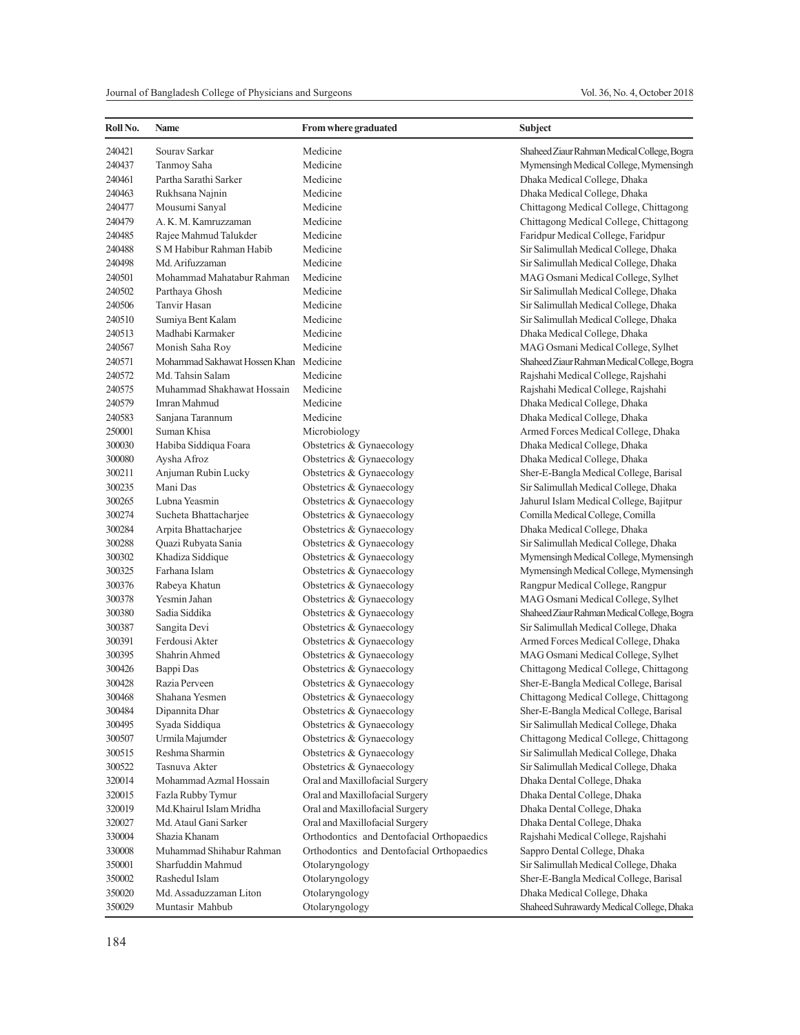| Roll No. | Name                                   | <b>From where graduated</b>               | Subject                                     |
|----------|----------------------------------------|-------------------------------------------|---------------------------------------------|
| 240421   | Sourav Sarkar                          | Medicine                                  | Shaheed Ziaur Rahman Medical College, Bogra |
| 240437   | Tanmoy Saha                            | Medicine                                  | Mymensingh Medical College, Mymensingh      |
| 240461   | Partha Sarathi Sarker                  | Medicine                                  | Dhaka Medical College, Dhaka                |
| 240463   | Rukhsana Najnin                        | Medicine                                  | Dhaka Medical College, Dhaka                |
| 240477   | Mousumi Sanyal                         | Medicine                                  | Chittagong Medical College, Chittagong      |
| 240479   | A. K. M. Kamruzzaman                   | Medicine                                  | Chittagong Medical College, Chittagong      |
| 240485   | Rajee Mahmud Talukder                  | Medicine                                  | Faridpur Medical College, Faridpur          |
| 240488   | S M Habibur Rahman Habib               | Medicine                                  | Sir Salimullah Medical College, Dhaka       |
| 240498   | Md. Arifuzzaman                        | Medicine                                  | Sir Salimullah Medical College, Dhaka       |
| 240501   | Mohammad Mahatabur Rahman              | Medicine                                  | MAG Osmani Medical College, Sylhet          |
| 240502   | Parthaya Ghosh                         | Medicine                                  | Sir Salimullah Medical College, Dhaka       |
| 240506   | Tanvir Hasan                           | Medicine                                  | Sir Salimullah Medical College, Dhaka       |
| 240510   | Sumiya Bent Kalam                      | Medicine                                  | Sir Salimullah Medical College, Dhaka       |
| 240513   | Madhabi Karmaker                       | Medicine                                  | Dhaka Medical College, Dhaka                |
| 240567   | Monish Saha Roy                        | Medicine                                  | MAG Osmani Medical College, Sylhet          |
| 240571   | Mohammad Sakhawat Hossen Khan Medicine |                                           | Shaheed Ziaur Rahman Medical College, Bogra |
| 240572   | Md. Tahsin Salam                       | Medicine                                  | Rajshahi Medical College, Rajshahi          |
| 240575   | Muhammad Shakhawat Hossain             | Medicine                                  | Rajshahi Medical College, Rajshahi          |
| 240579   | Imran Mahmud                           | Medicine                                  | Dhaka Medical College, Dhaka                |
| 240583   | Sanjana Tarannum                       | Medicine                                  | Dhaka Medical College, Dhaka                |
| 250001   | Suman Khisa                            | Microbiology                              | Armed Forces Medical College, Dhaka         |
| 300030   | Habiba Siddiqua Foara                  | Obstetrics & Gynaecology                  | Dhaka Medical College, Dhaka                |
| 300080   | Aysha Afroz                            | Obstetrics & Gynaecology                  | Dhaka Medical College, Dhaka                |
| 300211   | Anjuman Rubin Lucky                    | Obstetrics & Gynaecology                  | Sher-E-Bangla Medical College, Barisal      |
| 300235   | Mani Das                               | Obstetrics & Gynaecology                  | Sir Salimullah Medical College, Dhaka       |
| 300265   | Lubna Yeasmin                          | Obstetrics & Gynaecology                  | Jahurul Islam Medical College, Bajitpur     |
| 300274   | Sucheta Bhattacharjee                  | Obstetrics & Gynaecology                  | Comilla Medical College, Comilla            |
| 300284   | Arpita Bhattacharjee                   | Obstetrics & Gynaecology                  | Dhaka Medical College, Dhaka                |
| 300288   | Quazi Rubyata Sania                    | Obstetrics & Gynaecology                  | Sir Salimullah Medical College, Dhaka       |
| 300302   | Khadiza Siddique                       | Obstetrics & Gynaecology                  | Mymensingh Medical College, Mymensingh      |
| 300325   | Farhana Islam                          | Obstetrics & Gynaecology                  | Mymensingh Medical College, Mymensingh      |
| 300376   | Rabeya Khatun                          | Obstetrics & Gynaecology                  | Rangpur Medical College, Rangpur            |
| 300378   | Yesmin Jahan                           | Obstetrics & Gynaecology                  | MAG Osmani Medical College, Sylhet          |
| 300380   | Sadia Siddika                          | Obstetrics & Gynaecology                  | Shaheed Ziaur Rahman Medical College, Bogra |
| 300387   | Sangita Devi                           | Obstetrics & Gynaecology                  | Sir Salimullah Medical College, Dhaka       |
| 300391   | Ferdousi Akter                         | Obstetrics & Gynaecology                  | Armed Forces Medical College, Dhaka         |
| 300395   | Shahrin Ahmed                          | Obstetrics & Gynaecology                  | MAG Osmani Medical College, Sylhet          |
| 300426   | Bappi Das                              | Obstetrics & Gynaecology                  | Chittagong Medical College, Chittagong      |
| 300428   | Razia Perveen                          | Obstetrics & Gynaecology                  | Sher-E-Bangla Medical College, Barisal      |
| 300468   | Shahana Yesmen                         | Obstetrics & Gynaecology                  | Chittagong Medical College, Chittagong      |
| 300484   | Dipannita Dhar                         | Obstetrics & Gynaecology                  | Sher-E-Bangla Medical College, Barisal      |
| 300495   | Syada Siddiqua                         | Obstetrics & Gynaecology                  | Sir Salimullah Medical College, Dhaka       |
| 300507   | Urmila Majumder                        | Obstetrics & Gynaecology                  | Chittagong Medical College, Chittagong      |
| 300515   | Reshma Sharmin                         | Obstetrics & Gynaecology                  | Sir Salimullah Medical College, Dhaka       |
| 300522   | Tasnuva Akter                          | Obstetrics & Gynaecology                  | Sir Salimullah Medical College, Dhaka       |
| 320014   | Mohammad Azmal Hossain                 | Oral and Maxillofacial Surgery            | Dhaka Dental College, Dhaka                 |
| 320015   | Fazla Rubby Tymur                      | Oral and Maxillofacial Surgery            | Dhaka Dental College, Dhaka                 |
| 320019   | Md.Khairul Islam Mridha                | Oral and Maxillofacial Surgery            | Dhaka Dental College, Dhaka                 |
| 320027   | Md. Ataul Gani Sarker                  | Oral and Maxillofacial Surgery            | Dhaka Dental College, Dhaka                 |
| 330004   | Shazia Khanam                          | Orthodontics and Dentofacial Orthopaedics | Rajshahi Medical College, Rajshahi          |
| 330008   | Muhammad Shihabur Rahman               | Orthodontics and Dentofacial Orthopaedics | Sappro Dental College, Dhaka                |
| 350001   | Sharfuddin Mahmud                      | Otolaryngology                            | Sir Salimullah Medical College, Dhaka       |
| 350002   | Rashedul Islam                         | Otolaryngology                            | Sher-E-Bangla Medical College, Barisal      |
| 350020   | Md. Assaduzzaman Liton                 | Otolaryngology                            | Dhaka Medical College, Dhaka                |
| 350029   | Muntasir Mahbub                        | Otolaryngology                            | Shaheed Suhrawardy Medical College, Dhaka   |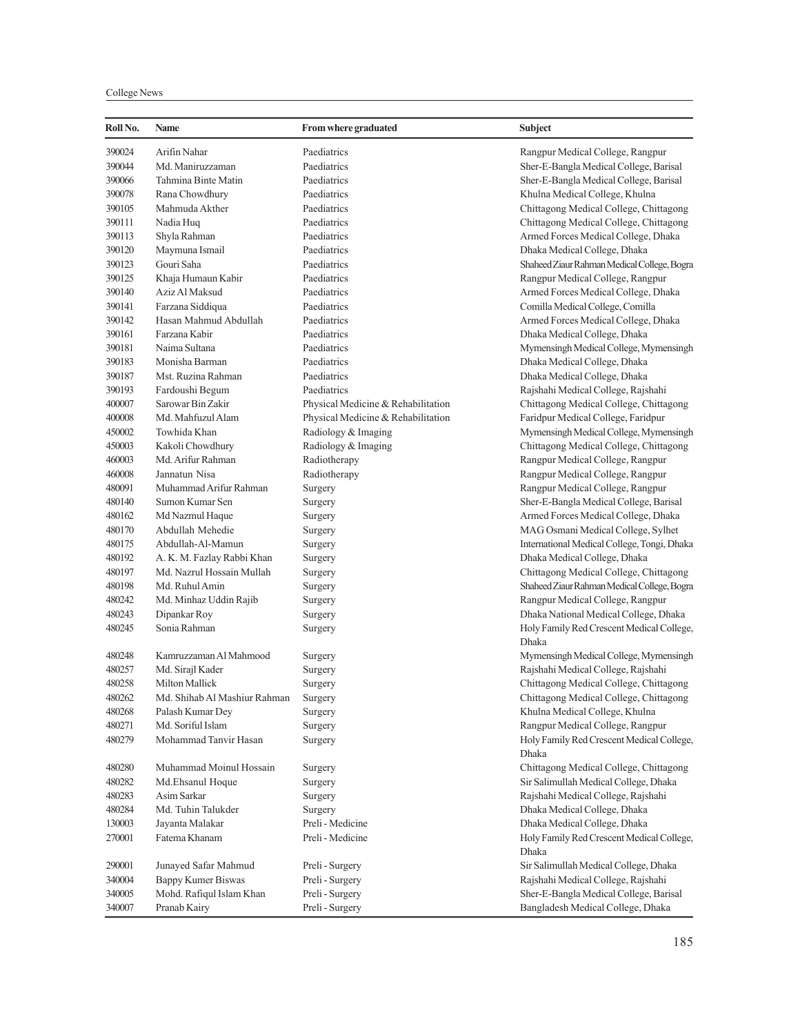## College News

| Roll No. | <b>Name</b>                  | <b>From where graduated</b>        | <b>Subject</b>                                     |
|----------|------------------------------|------------------------------------|----------------------------------------------------|
| 390024   | Arifin Nahar                 | Paediatrics                        | Rangpur Medical College, Rangpur                   |
| 390044   | Md. Maniruzzaman             | Paediatrics                        | Sher-E-Bangla Medical College, Barisal             |
| 390066   | Tahmina Binte Matin          | Paediatrics                        | Sher-E-Bangla Medical College, Barisal             |
| 390078   | Rana Chowdhury               | Paediatrics                        | Khulna Medical College, Khulna                     |
| 390105   | Mahmuda Akther               | Paediatrics                        | Chittagong Medical College, Chittagong             |
| 390111   | Nadia Huq                    | Paediatrics                        | Chittagong Medical College, Chittagong             |
| 390113   | Shyla Rahman                 | Paediatrics                        | Armed Forces Medical College, Dhaka                |
| 390120   | Maymuna Ismail               | Paediatrics                        | Dhaka Medical College, Dhaka                       |
| 390123   | Gouri Saha                   | Paediatrics                        | Shaheed Ziaur Rahman Medical College, Bogra        |
| 390125   | Khaja Humaun Kabir           | Paediatrics                        | Rangpur Medical College, Rangpur                   |
| 390140   | Aziz Al Maksud               | Paediatrics                        | Armed Forces Medical College, Dhaka                |
| 390141   | Farzana Siddiqua             | Paediatrics                        | Comilla Medical College, Comilla                   |
| 390142   | Hasan Mahmud Abdullah        | Paediatrics                        | Armed Forces Medical College, Dhaka                |
| 390161   | Farzana Kabir                | Paediatrics                        | Dhaka Medical College, Dhaka                       |
| 390181   | Naima Sultana                | Paediatrics                        | Mymensingh Medical College, Mymensingh             |
| 390183   | Monisha Barman               | Paediatrics                        | Dhaka Medical College, Dhaka                       |
| 390187   | Mst. Ruzina Rahman           | Paediatrics                        | Dhaka Medical College, Dhaka                       |
| 390193   | Fardoushi Begum              | Paediatrics                        | Rajshahi Medical College, Rajshahi                 |
| 400007   | Sarowar Bin Zakir            | Physical Medicine & Rehabilitation | Chittagong Medical College, Chittagong             |
| 400008   | Md. Mahfuzul Alam            | Physical Medicine & Rehabilitation | Faridpur Medical College, Faridpur                 |
| 450002   | Towhida Khan                 | Radiology & Imaging                | Mymensingh Medical College, Mymensingh             |
| 450003   | Kakoli Chowdhury             | Radiology & Imaging                | Chittagong Medical College, Chittagong             |
| 460003   | Md. Arifur Rahman            | Radiotherapy                       | Rangpur Medical College, Rangpur                   |
| 460008   | Jannatun Nisa                | Radiotherapy                       | Rangpur Medical College, Rangpur                   |
| 480091   | Muhammad Arifur Rahman       | Surgery                            | Rangpur Medical College, Rangpur                   |
| 480140   | Sumon Kumar Sen              | Surgery                            | Sher-E-Bangla Medical College, Barisal             |
| 480162   | Md Nazmul Haque              | Surgery                            | Armed Forces Medical College, Dhaka                |
| 480170   | Abdullah Mehedie             | Surgery                            | MAG Osmani Medical College, Sylhet                 |
| 480175   | Abdullah-Al-Mamun            | Surgery                            | International Medical College, Tongi, Dhaka        |
| 480192   | A. K. M. Fazlay Rabbi Khan   | Surgery                            | Dhaka Medical College, Dhaka                       |
| 480197   | Md. Nazrul Hossain Mullah    | Surgery                            | Chittagong Medical College, Chittagong             |
| 480198   | Md. Ruhul Amin               | Surgery                            | Shaheed Ziaur Rahman Medical College, Bogra        |
| 480242   | Md. Minhaz Uddin Rajib       | Surgery                            | Rangpur Medical College, Rangpur                   |
| 480243   | Dipankar Roy                 | Surgery                            | Dhaka National Medical College, Dhaka              |
| 480245   | Sonia Rahman                 | Surgery                            | Holy Family Red Crescent Medical College,<br>Dhaka |
| 480248   | Kamruzzaman Al Mahmood       | Surgery                            | Mymensingh Medical College, Mymensingh             |
| 480257   | Md. Sirajl Kader             | Surgery                            | Rajshahi Medical College, Rajshahi                 |
| 480258   | Milton Mallick               | Surgery                            | Chittagong Medical College, Chittagong             |
| 480262   | Md. Shihab Al Mashiur Rahman | Surgery                            | Chittagong Medical College, Chittagong             |
| 480268   | Palash Kumar Dey             | Surgery                            | Khulna Medical College, Khulna                     |
| 480271   | Md. Soriful Islam            | Surgery                            | Rangpur Medical College, Rangpur                   |
| 480279   | Mohammad Tanvir Hasan        | Surgery                            | Holy Family Red Crescent Medical College,<br>Dhaka |
| 480280   | Muhammad Moinul Hossain      | Surgery                            | Chittagong Medical College, Chittagong             |
| 480282   | Md.Ehsanul Hoque             | Surgery                            | Sir Salimullah Medical College, Dhaka              |
| 480283   | Asim Sarkar                  | Surgery                            | Rajshahi Medical College, Rajshahi                 |
| 480284   | Md. Tuhin Talukder           | Surgery                            | Dhaka Medical College, Dhaka                       |
| 130003   | Jayanta Malakar              | Preli - Medicine                   | Dhaka Medical College, Dhaka                       |
| 270001   | Fatema Khanam                | Preli - Medicine                   | Holy Family Red Crescent Medical College,          |
| 290001   | Junayed Safar Mahmud         | Preli - Surgery                    | Dhaka<br>Sir Salimullah Medical College, Dhaka     |
| 340004   | Bappy Kumer Biswas           | Preli - Surgery                    | Rajshahi Medical College, Rajshahi                 |
| 340005   | Mohd. Rafiqul Islam Khan     | Preli - Surgery                    | Sher-E-Bangla Medical College, Barisal             |
| 340007   | Pranab Kairy                 | Preli - Surgery                    | Bangladesh Medical College, Dhaka                  |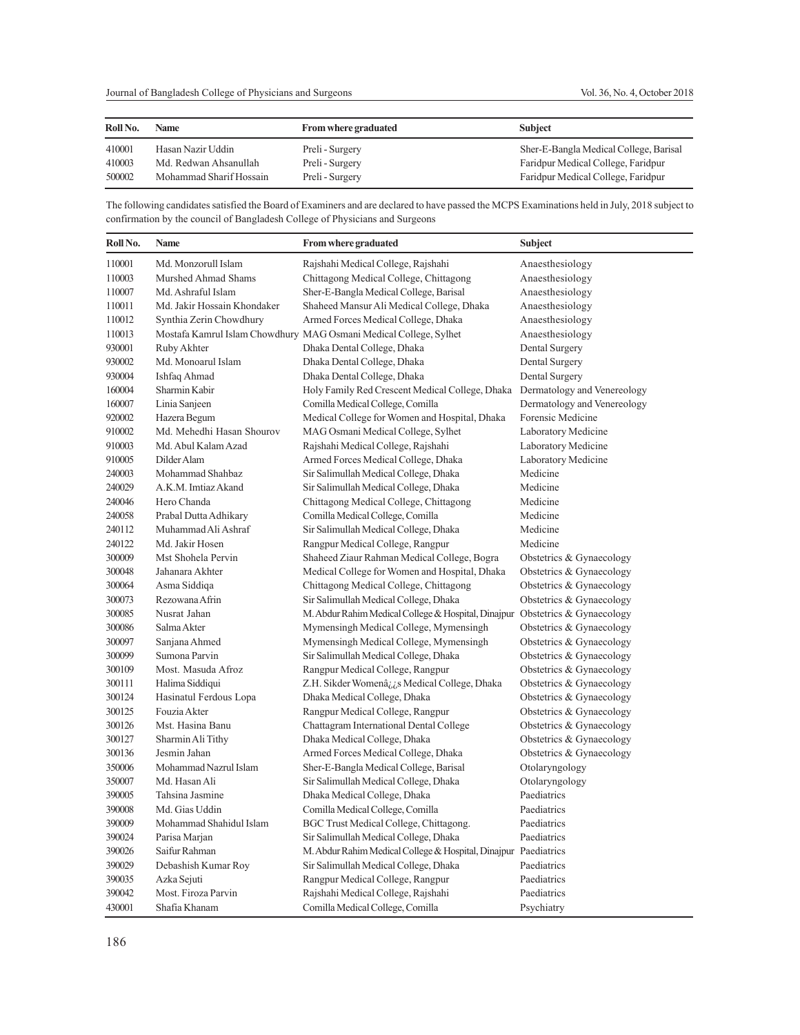| Roll No. | Name                    | <b>From where graduated</b> | <b>Subject</b>                         |
|----------|-------------------------|-----------------------------|----------------------------------------|
| 410001   | Hasan Nazir Uddin       | Preli - Surgery             | Sher-E-Bangla Medical College, Barisal |
| 410003   | Md. Redwan Ahsanullah   | Preli - Surgery             | Faridpur Medical College, Faridpur     |
| 500002   | Mohammad Sharif Hossain | Preli - Surgery             | Faridpur Medical College, Faridpur     |

The following candidates satisfied the Board of Examiners and are declared to have passed the MCPS Examinations held in July, 2018 subject to confirmation by the council of Bangladesh College of Physicians and Surgeons

| Roll No. | <b>Name</b>                 | From where graduated                                              | <b>Subject</b>              |
|----------|-----------------------------|-------------------------------------------------------------------|-----------------------------|
| 110001   | Md. Monzorull Islam         | Rajshahi Medical College, Rajshahi                                | Anaesthesiology             |
| 110003   | Murshed Ahmad Shams         | Chittagong Medical College, Chittagong                            | Anaesthesiology             |
| 110007   | Md. Ashraful Islam          | Sher-E-Bangla Medical College, Barisal                            | Anaesthesiology             |
| 110011   | Md. Jakir Hossain Khondaker | Shaheed Mansur Ali Medical College, Dhaka                         | Anaesthesiology             |
| 110012   | Synthia Zerin Chowdhury     | Armed Forces Medical College, Dhaka                               | Anaesthesiology             |
| 110013   |                             | Mostafa Kamrul Islam Chowdhury MAG Osmani Medical College, Sylhet | Anaesthesiology             |
| 930001   | Ruby Akhter                 | Dhaka Dental College, Dhaka                                       | Dental Surgery              |
| 930002   | Md. Monoarul Islam          | Dhaka Dental College, Dhaka                                       | Dental Surgery              |
| 930004   | Ishfaq Ahmad                | Dhaka Dental College, Dhaka                                       | Dental Surgery              |
| 160004   | Sharmin Kabir               | Holy Family Red Crescent Medical College, Dhaka                   | Dermatology and Venereology |
| 160007   | Linia Sanjeen               | Comilla Medical College, Comilla                                  | Dermatology and Venereology |
| 920002   | Hazera Begum                | Medical College for Women and Hospital, Dhaka                     | Forensic Medicine           |
| 910002   | Md. Mehedhi Hasan Shourov   | MAG Osmani Medical College, Sylhet                                | Laboratory Medicine         |
| 910003   | Md. Abul Kalam Azad         | Rajshahi Medical College, Rajshahi                                | Laboratory Medicine         |
| 910005   | Dilder Alam                 | Armed Forces Medical College, Dhaka                               | Laboratory Medicine         |
| 240003   | Mohammad Shahbaz            | Sir Salimullah Medical College, Dhaka                             | Medicine                    |
| 240029   | A.K.M. Imtiaz Akand         | Sir Salimullah Medical College, Dhaka                             | Medicine                    |
| 240046   | Hero Chanda                 | Chittagong Medical College, Chittagong                            | Medicine                    |
| 240058   | Prabal Dutta Adhikary       | Comilla Medical College, Comilla                                  | Medicine                    |
| 240112   | Muhammad Ali Ashraf         | Sir Salimullah Medical College, Dhaka                             | Medicine                    |
| 240122   | Md. Jakir Hosen             | Rangpur Medical College, Rangpur                                  | Medicine                    |
| 300009   | Mst Shohela Pervin          | Shaheed Ziaur Rahman Medical College, Bogra                       | Obstetrics & Gynaecology    |
| 300048   | Jahanara Akhter             | Medical College for Women and Hospital, Dhaka                     | Obstetrics & Gynaecology    |
| 300064   | Asma Siddiqa                | Chittagong Medical College, Chittagong                            | Obstetrics & Gynaecology    |
| 300073   | Rezowana Afrin              | Sir Salimullah Medical College, Dhaka                             | Obstetrics & Gynaecology    |
| 300085   | Nusrat Jahan                | M. Abdur Rahim Medical College & Hospital, Dinajpur               | Obstetrics & Gynaecology    |
| 300086   | Salma Akter                 | Mymensingh Medical College, Mymensingh                            | Obstetrics & Gynaecology    |
| 300097   | Sanjana Ahmed               | Mymensingh Medical College, Mymensingh                            | Obstetrics & Gynaecology    |
| 300099   | Sumona Parvin               | Sir Salimullah Medical College, Dhaka                             | Obstetrics & Gynaecology    |
| 300109   | Most. Masuda Afroz          | Rangpur Medical College, Rangpur                                  | Obstetrics & Gynaecology    |
| 300111   | Halima Siddiqui             | Z.H. Sikder Womenâ <sub>id</sub> s Medical College, Dhaka         | Obstetrics & Gynaecology    |
| 300124   | Hasinatul Ferdous Lopa      | Dhaka Medical College, Dhaka                                      | Obstetrics & Gynaecology    |
| 300125   | Fouzia Akter                | Rangpur Medical College, Rangpur                                  | Obstetrics & Gynaecology    |
| 300126   | Mst. Hasina Banu            | Chattagram International Dental College                           | Obstetrics & Gynaecology    |
| 300127   | Sharmin Ali Tithy           | Dhaka Medical College, Dhaka                                      | Obstetrics & Gynaecology    |
| 300136   | Jesmin Jahan                | Armed Forces Medical College, Dhaka                               | Obstetrics & Gynaecology    |
| 350006   | Mohammad Nazrul Islam       | Sher-E-Bangla Medical College, Barisal                            | Otolaryngology              |
| 350007   | Md. Hasan Ali               | Sir Salimullah Medical College, Dhaka                             | Otolaryngology              |
| 390005   | Tahsina Jasmine             | Dhaka Medical College, Dhaka                                      | Paediatrics                 |
| 390008   | Md. Gias Uddin              | Comilla Medical College, Comilla                                  | Paediatrics                 |
| 390009   | Mohammad Shahidul Islam     | BGC Trust Medical College, Chittagong.                            | Paediatrics                 |
| 390024   | Parisa Marjan               | Sir Salimullah Medical College, Dhaka                             | Paediatrics                 |
| 390026   | Saifur Rahman               | M. Abdur Rahim Medical College & Hospital, Dinajpur Paediatrics   |                             |
| 390029   | Debashish Kumar Roy         | Sir Salimullah Medical College, Dhaka                             | Paediatrics                 |
| 390035   | Azka Sejuti                 | Rangpur Medical College, Rangpur                                  | Paediatrics                 |
| 390042   | Most. Firoza Parvin         | Rajshahi Medical College, Rajshahi                                | Paediatrics                 |
| 430001   | Shafia Khanam               | Comilla Medical College, Comilla                                  | Psychiatry                  |